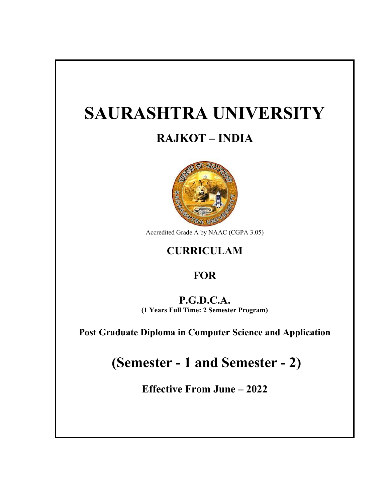# **SAURASHTRA UNIVERSITY**

## **RAJKOT – INDIA**



Accredited Grade A by NAAC (CGPA 3.05)

## **CURRICULAM**

## **FOR**

## **P.G.D.C.A.**

**(1 Years Full Time: 2 Semester Program)**

**Post Graduate Diploma in Computer Science and Application**

## **(Semester - 1 and Semester - 2)**

**Effective From June – 2022**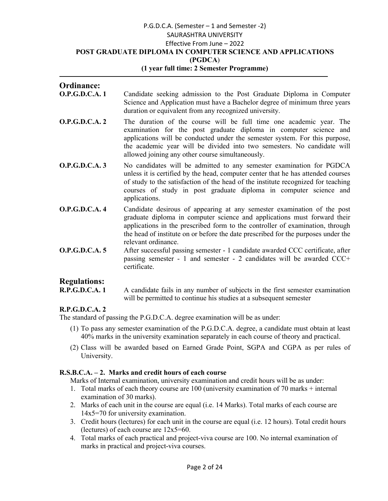#### P.G.D.C.A. (Semester – 1 and Semester -2) **POST GRADUATE DIPLOMA IN COMPUTER SCIENCE AND APPLICATIONS** SAURASHTRA UNIVERSITY Effective From June – 2022 **(PGDCA**)

#### **(1 year full time: 2 Semester Programme)**

## Ordinance:<br>O.P.G.D.C.A. 1

- Candidate seeking admission to the Post Graduate Diploma in Computer Science and Application must have a Bachelor degree of minimum three years duration or equivalent from any recognized university.
- **O.P.G.D.C.A. 2** The duration of the course will be full time one academic year. The examination for the post graduate diploma in computer science and applications will be conducted under the semester system. For this purpose, the academic year will be divided into two semesters. No candidate will allowed joining any other course simultaneously. tion or equivalent from any recognized university.<br>
duration of the course will be full time one academic year. The<br>
mination for the post graduate diploma in computer science and<br>
ications will be conducted under the seme
- **O.P.G.D.C.A. 3** No candidates will be admitted to any semester examination for PGDCA unless it is certified by the head, computer center that he has attended courses of study to the satisfaction of the head of the institute recognized for teaching courses of study in post graduate diploma in computer applications. is will be conducted under the semester system. For this purpose, inc year will be divided into two semesters. No candidate will ining any other course simultaneously.<br>tates will be admitted to any semester examination for
- **O.P.G.D.C.A. 4** Candidate desirous of appearing at any semester examination of the post graduate diploma in computer science and applications must forward their applications in the prescribed form to the controller of examination, through the head of institute on or before the date prescribed for the purposes under the relevant ordinance. unless it is certified by the head, computer center that he has attended courses<br>of study to the satisfaction of the head of the institute recognized for teaching<br>courses of study in post graduate diploma in computer scien
- **O.P.G.D.C.A. 5** After successful passing semester 1 candidate awarded CCC certificate, after passing semester - 1 and semester - 2 candidates will be awarded CCC+ certificate. After successful passing semester - 1 candidate awarded C<br>passing semester - 1 and semester - 2 candidates will<br>certificate.<br>A candidate fails in any number of subjects in the first se<br>will be permitted to continue his st

## **Regulations:**

A candidate fails in any number of subjects in the first semester examination will be permitted to continue his studies at a subsequent semester

#### **R.P.G.D.C.A. 2**

The standard of passing the P.G.D.C.A. degree examination will be as under:

- (1) To pass any semester examination of the P.G.D.C.A. degree, a candidate must obtain at least 40% marks in the university examination separately in each course of theory and practical. (2) CLA. 1 A candidate fails in any number of subjects in the first semester examination will be permitted to continue his studies at a subsequent semester (1) To pass any semester examination of the P.G.D.C.A. degree, a c
- University.

#### **R.S.B.C.A. – 2. Marks and credit hours of each course**

Marks of Internal examination, university examination and credit hours will be as under:

- Marks of Internal examination, university examination and credit hours will be as under:<br>1. Total marks of each theory course are 100 (university examination of 70 marks + internal examination of 30 marks).
- 2. Marks of each unit in the course are equal (i.e. 14 Marks). Total marks of each course are 14x5=70 for university examination.
- 3. Credit hours (lectures) for each unit in the course are e equal (i.e. 12 hours). Total credit hours (lectures) of each course are  $12x5=60$ .
- 4. Total marks of each practical and project Total project-viva course are 100. No internal examination of marks in practical and project-viva courses.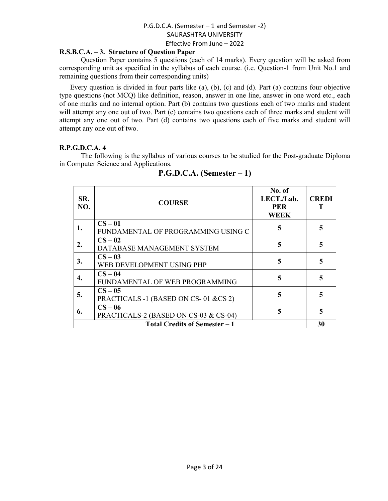#### **R.S.B.C.A. – 3. Structure of Question Paper**

Question Paper contains 5 questions (each of 14 marks). Every question will be asked from corresponding unit as specified in the syllabus of each course. (i.e. Question-1 from Unit No.1 and remaining questions from their corresponding units)

Every question is divided in four parts like (a), (b), (c) and (d). Part (a) contains four objective type questions (not MCQ) like definition, reason, answer in one line, answer in one word etc., each of one marks and no internal option. Part (b) contains two questions each of two marks and student will attempt any one out of two. Part (c) contains two questions each of three marks and student will attempt any one out of two. Part (d) contains two questions each of five marks and student will attempt any one out of two.

#### **R.P.G.D.C.A. 4**

The following is the syllabus of various courses to be studied for the Post-graduate Diploma in Computer Science and Applications.

| SR.<br>NO.                           | <b>COURSE</b>                                    | No. of<br>LECT./Lab.<br><b>PER</b><br><b>WEEK</b> | <b>CREDI</b> |  |
|--------------------------------------|--------------------------------------------------|---------------------------------------------------|--------------|--|
| 1.                                   | $CS-01$<br>FUNDAMENTAL OF PROGRAMMING USING C    | 5                                                 | 5            |  |
| 2.                                   | $CS-02$<br>DATABASE MANAGEMENT SYSTEM            | 5                                                 | 5            |  |
| 3.                                   | $CS-03$<br>WEB DEVELOPMENT USING PHP             | 5                                                 | 5            |  |
| 4.                                   | $CS - 04$<br>FUNDAMENTAL OF WEB PROGRAMMING      | 5                                                 | 5            |  |
| 5.                                   | $CS-05$<br>PRACTICALS -1 (BASED ON CS-01 &CS 2)  | 5                                                 | 5            |  |
| 6.                                   | $CS-06$<br>PRACTICALS-2 (BASED ON CS-03 & CS-04) | 5                                                 | 5            |  |
| <b>Total Credits of Semester - 1</b> |                                                  |                                                   |              |  |

#### **P.G.D.C.A. (Semester – 1)**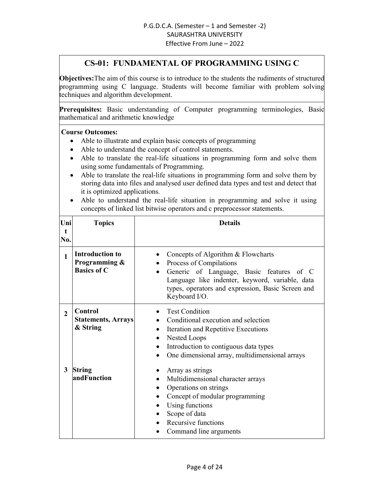#### **CS-01: FUNDAMENTAL OF PROGRAMMING USING C**

**Objectives:**The aim of this course is to introduce to the students the rudiments of structured programming using C language. Students will become familiar with problem solving techniques and algorithm development.

**Prerequisites:** Basic understanding of Computer programming terminologies, Basic mathematical and arithmetic knowledge

- Able to illustrate and explain basic concepts of programming
- Able to understand the concept of control statements.
- Able to translate the real-life situations in programming form and solve them using some fundamentals of Programming.
- Able to translate the real-life situations in programming form and solve them by storing data into files and analysed user defined data types and test and detect that it is optimized applications.
- Able to understand the real-life situation in programming and solve it using concepts of linked list bitwise operators and c preprocessor statements.

| Uni<br>t<br>No. | <b>Topics</b>                                                 | <b>Details</b>                                                                                                                                                                                                                     |
|-----------------|---------------------------------------------------------------|------------------------------------------------------------------------------------------------------------------------------------------------------------------------------------------------------------------------------------|
| 1               | <b>Introduction to</b><br>Programming &<br><b>Basics of C</b> | Concepts of Algorithm & Flowcharts<br>Process of Compilations<br>Generic of Language, Basic features of C<br>Language like indenter, keyword, variable, data<br>types, operators and expression, Basic Screen and<br>Keyboard I/O. |
| $\overline{2}$  | Control<br><b>Statements, Arrays</b><br>& String              | <b>Test Condition</b><br>Conditional execution and selection<br>Iteration and Repetitive Executions<br>$\bullet$<br>Nested Loops<br>Introduction to contiguous data types<br>One dimensional array, multidimensional arrays        |
| 3               | <b>String</b><br>andFunction                                  | Array as strings<br>Multidimensional character arrays<br>Operations on strings<br>$\bullet$<br>Concept of modular programming<br>Using functions<br>Scope of data<br>Recursive functions<br>Command line arguments                 |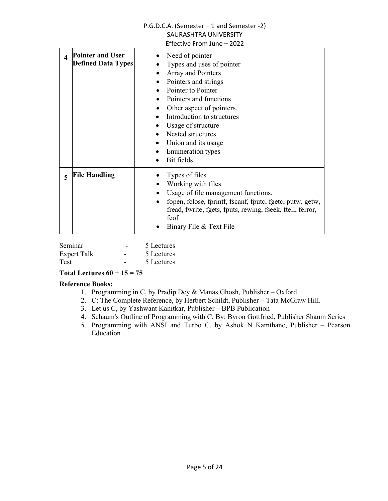| $\boldsymbol{\Lambda}$  | <b>Pointer and User</b><br><b>Defined Data Types</b> | Need of pointer<br>Types and uses of pointer<br>Array and Pointers<br>Pointers and strings<br>Pointer to Pointer<br>Pointers and functions<br>Other aspect of pointers.<br>Introduction to structures<br>Usage of structure<br>Nested structures<br>Union and its usage<br>$\bullet$<br><b>Enumeration</b> types<br>Bit fields. |
|-------------------------|------------------------------------------------------|---------------------------------------------------------------------------------------------------------------------------------------------------------------------------------------------------------------------------------------------------------------------------------------------------------------------------------|
| $\overline{\mathbf{5}}$ | <b>File Handling</b>                                 | Types of files<br>Working with files<br>Usage of file management functions.<br>fopen, fclose, fprintf, fscanf, fputc, fgetc, putw, getw,<br>fread, fwrite, fgets, fputs, rewing, fseek, ftell, ferror,<br>feof<br>Binary File & Text File                                                                                       |

| Seminar            |   | 5 Lectures |
|--------------------|---|------------|
| <b>Expert Talk</b> | - | 5 Lectures |
| Test               |   | 5 Lectures |

#### Total Lectures  $60 + 15 = 75$

- 1. Programming in C, by Pradip Dey & Manas Ghosh, Publisher Oxford
- 2. C: The Complete Reference, by Herbert Schildt, Publisher Tata McGraw Hill.
- 3. Let us C, by Yashwant Kanitkar, Publisher BPB Publication
- 4. Schaum's Outline of Programming with C, By: Byron Gottfried, Publisher Shaum Series
- 5. Programming with ANSI and Turbo C, by Ashok N Kamthane, Publisher Pearson Education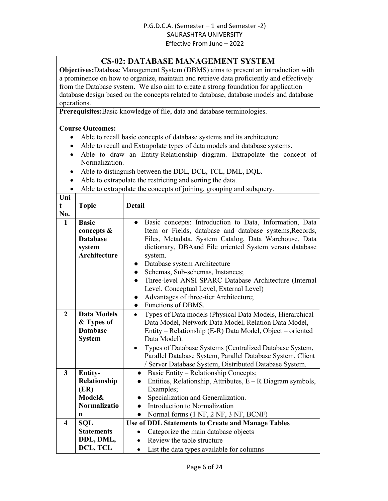#### **CS-02: DATABASE MANAGEMENT SYSTEM**

**Objectives:**Database Management System (DBMS) aims to present an introduction with a prominence on how to organize, maintain and retrieve data proficiently and effectively from the Database system. We also aim to create a strong foundation for application database design based on the concepts related to database, database models and database operations.

**Prerequisites:**Basic knowledge of file, data and database terminologies.

- Able to recall basic concepts of database systems and its architecture.
- Able to recall and Extrapolate types of data models and database systems.
- Able to draw an Entity-Relationship diagram. Extrapolate the concept of Normalization.
- Able to distinguish between the DDL, DCL, TCL, DML, DQL.
- Able to extrapolate the restricting and sorting the data.
- Able to extrapolate the concepts of joining, grouping and subquery.

| Uni                     |                                                                         |                                                                                                                                                                                                                                                                                                                                                                                                                                                                                                                                     |  |
|-------------------------|-------------------------------------------------------------------------|-------------------------------------------------------------------------------------------------------------------------------------------------------------------------------------------------------------------------------------------------------------------------------------------------------------------------------------------------------------------------------------------------------------------------------------------------------------------------------------------------------------------------------------|--|
| t                       | <b>Topic</b>                                                            | Detail                                                                                                                                                                                                                                                                                                                                                                                                                                                                                                                              |  |
| No.                     |                                                                         |                                                                                                                                                                                                                                                                                                                                                                                                                                                                                                                                     |  |
| $\mathbf{1}$            | <b>Basic</b><br>concepts &<br><b>Database</b><br>system<br>Architecture | Basic concepts: Introduction to Data, Information, Data<br>Item or Fields, database and database systems, Records,<br>Files, Metadata, System Catalog, Data Warehouse, Data<br>dictionary, DBA and File oriented System versus database<br>system.<br>Database system Architecture<br>Schemas, Sub-schemas, Instances;<br>$\bullet$<br>Three-level ANSI SPARC Database Architecture (Internal<br>$\bullet$<br>Level, Conceptual Level, External Level)<br>Advantages of three-tier Architecture;<br>Functions of DBMS.<br>$\bullet$ |  |
| $\overline{2}$          | <b>Data Models</b>                                                      | Types of Data models (Physical Data Models, Hierarchical<br>$\bullet$                                                                                                                                                                                                                                                                                                                                                                                                                                                               |  |
|                         | & Types of                                                              | Data Model, Network Data Model, Relation Data Model,                                                                                                                                                                                                                                                                                                                                                                                                                                                                                |  |
|                         | <b>Database</b>                                                         | Entity – Relationship (E-R) Data Model, Object – oriented                                                                                                                                                                                                                                                                                                                                                                                                                                                                           |  |
|                         | <b>System</b>                                                           | Data Model).                                                                                                                                                                                                                                                                                                                                                                                                                                                                                                                        |  |
|                         |                                                                         | Types of Database Systems (Centralized Database System,                                                                                                                                                                                                                                                                                                                                                                                                                                                                             |  |
|                         |                                                                         | Parallel Database System, Parallel Database System, Client                                                                                                                                                                                                                                                                                                                                                                                                                                                                          |  |
|                         |                                                                         | / Server Database System, Distributed Database System.                                                                                                                                                                                                                                                                                                                                                                                                                                                                              |  |
| 3                       | <b>Entity-</b>                                                          | Basic Entity – Relationship Concepts;<br>$\bullet$                                                                                                                                                                                                                                                                                                                                                                                                                                                                                  |  |
|                         | Relationship                                                            | Entities, Relationship, Attributes, $E - R$ Diagram symbols,                                                                                                                                                                                                                                                                                                                                                                                                                                                                        |  |
|                         | (ER)                                                                    | Examples;                                                                                                                                                                                                                                                                                                                                                                                                                                                                                                                           |  |
|                         | <b>Model&amp;</b>                                                       | Specialization and Generalization.                                                                                                                                                                                                                                                                                                                                                                                                                                                                                                  |  |
|                         | <b>Normalizatio</b>                                                     | Introduction to Normalization                                                                                                                                                                                                                                                                                                                                                                                                                                                                                                       |  |
|                         | n                                                                       | Normal forms (1 NF, 2 NF, 3 NF, BCNF)<br>$\bullet$                                                                                                                                                                                                                                                                                                                                                                                                                                                                                  |  |
| $\overline{\mathbf{4}}$ | <b>SOL</b>                                                              | <b>Use of DDL Statements to Create and Manage Tables</b>                                                                                                                                                                                                                                                                                                                                                                                                                                                                            |  |
|                         | <b>Statements</b>                                                       | Categorize the main database objects<br>$\bullet$                                                                                                                                                                                                                                                                                                                                                                                                                                                                                   |  |
|                         | DDL, DML,                                                               | Review the table structure                                                                                                                                                                                                                                                                                                                                                                                                                                                                                                          |  |
|                         | DCL, TCL                                                                | List the data types available for columns<br>$\bullet$                                                                                                                                                                                                                                                                                                                                                                                                                                                                              |  |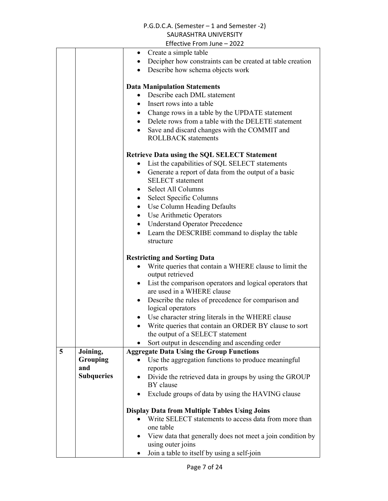|   |                   | LIIECUVE FIUIII JUIIE – ZUZZ                                           |
|---|-------------------|------------------------------------------------------------------------|
|   |                   | • Create a simple table                                                |
|   |                   | Decipher how constraints can be created at table creation<br>$\bullet$ |
|   |                   | Describe how schema objects work                                       |
|   |                   |                                                                        |
|   |                   | <b>Data Manipulation Statements</b>                                    |
|   |                   | Describe each DML statement                                            |
|   |                   | Insert rows into a table<br>$\bullet$                                  |
|   |                   | • Change rows in a table by the UPDATE statement                       |
|   |                   | • Delete rows from a table with the DELETE statement                   |
|   |                   | Save and discard changes with the COMMIT and<br>$\bullet$              |
|   |                   | <b>ROLLBACK</b> statements                                             |
|   |                   |                                                                        |
|   |                   | <b>Retrieve Data using the SQL SELECT Statement</b>                    |
|   |                   | List the capabilities of SQL SELECT statements<br>$\bullet$            |
|   |                   | Generate a report of data from the output of a basic<br>$\bullet$      |
|   |                   | <b>SELECT</b> statement                                                |
|   |                   | Select All Columns<br>$\bullet$                                        |
|   |                   | Select Specific Columns<br>$\bullet$                                   |
|   |                   | • Use Column Heading Defaults                                          |
|   |                   | Use Arithmetic Operators<br>$\bullet$                                  |
|   |                   | <b>Understand Operator Precedence</b><br>$\bullet$                     |
|   |                   | Learn the DESCRIBE command to display the table<br>$\bullet$           |
|   |                   | structure                                                              |
|   |                   |                                                                        |
|   |                   | <b>Restricting and Sorting Data</b>                                    |
|   |                   | Write queries that contain a WHERE clause to limit the                 |
|   |                   | output retrieved                                                       |
|   |                   | List the comparison operators and logical operators that               |
|   |                   | are used in a WHERE clause                                             |
|   |                   | Describe the rules of precedence for comparison and<br>$\bullet$       |
|   |                   | logical operators                                                      |
|   |                   | • Use character string literals in the WHERE clause                    |
|   |                   | Write queries that contain an ORDER BY clause to sort                  |
|   |                   | the output of a SELECT statement                                       |
|   |                   | Sort output in descending and ascending order                          |
| 5 | Joining,          | <b>Aggregate Data Using the Group Functions</b>                        |
|   | Grouping          | Use the aggregation functions to produce meaningful                    |
|   | and               | reports                                                                |
|   | <b>Subqueries</b> | Divide the retrieved data in groups by using the GROUP                 |
|   |                   | BY clause                                                              |
|   |                   | Exclude groups of data by using the HAVING clause                      |
|   |                   |                                                                        |
|   |                   | <b>Display Data from Multiple Tables Using Joins</b>                   |
|   |                   | Write SELECT statements to access data from more than                  |
|   |                   | one table                                                              |
|   |                   | View data that generally does not meet a join condition by             |
|   |                   |                                                                        |
|   |                   | using outer joins                                                      |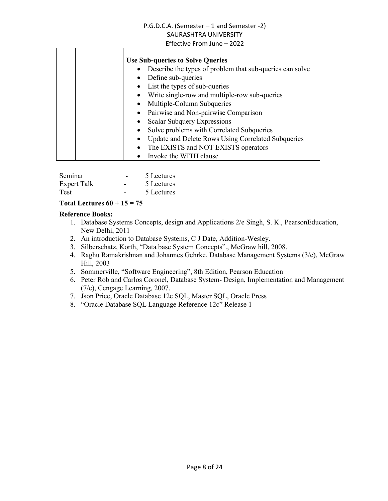| <b>Use Sub-queries to Solve Queries</b>                               |
|-----------------------------------------------------------------------|
| Describe the types of problem that sub-queries can solve<br>$\bullet$ |
| Define sub-queries<br>$\bullet$                                       |
| • List the types of sub-queries                                       |
| Write single-row and multiple-row sub-queries<br>$\bullet$            |
| Multiple-Column Subqueries<br>$\bullet$                               |
| • Pairwise and Non-pairwise Comparison                                |
| Scalar Subquery Expressions                                           |
| Solve problems with Correlated Subqueries                             |
| <b>Update and Delete Rows Using Correlated Subqueries</b>             |
| The EXISTS and NOT EXISTS operators<br>$\bullet$                      |
| Invoke the WITH clause                                                |

| Seminar     |   | 5 Lectures |
|-------------|---|------------|
| Expert Talk | - | 5 Lectures |
| <b>Test</b> |   | 5 Lectures |

#### **Total Lectures 60 + 15 = 75**

- 1. Database Systems Concepts, design and Applications 2/e Singh, S. K., PearsonEducation, New Delhi, 2011
- 2. An introduction to Database Systems, C J Date, Addition-Wesley.
- 3. Silberschatz, Korth, "Data base System Concepts"., McGraw hill, 2008.
- 4. Raghu Ramakrishnan and Johannes Gehrke, Database Management Systems (3/e), McGraw Hill, 2003
- 5. Sommerville, "Software Engineering", 8th Edition, Pearson Education
- 6. Peter Rob and Carlos Coronel, Database System- Design, Implementation and Management (7/e), Cengage Learning, 2007.
- 7. Json Price, Oracle Database 12c SQL, Master SQL, Oracle Press
- 8. "Oracle Database SQL Language Reference 12c" Release 1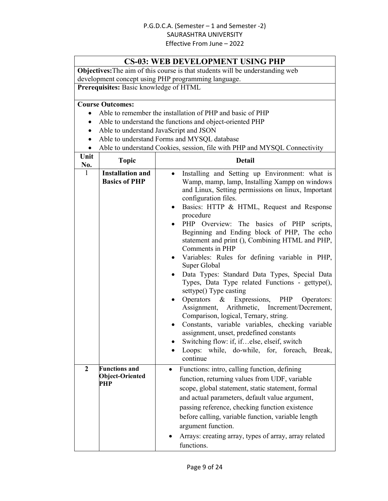#### **CS-03: WEB DEVELOPMENT USING PHP**

**Objectives:**The aim of this course is that students will be understanding web development concept using PHP programming language.

**Prerequisites:** Basic knowledge of HTML

- Able to remember the installation of PHP and basic of PHP
- Able to understand the functions and object-oriented PHP
- Able to understand JavaScript and JSON
- Able to understand Forms and MYSQL database
- Able to understand Cookies, session, file with PHP and MYSQL Connectivity

| Unit<br>No.  | <b>Topic</b>                                    | <b>Detail</b>                                                                                                                                                                                                                                                                                                                                                                                                                                                                                                                                                                                                                                                                                                                                                                                                                                                                                                                                                                                                                            |
|--------------|-------------------------------------------------|------------------------------------------------------------------------------------------------------------------------------------------------------------------------------------------------------------------------------------------------------------------------------------------------------------------------------------------------------------------------------------------------------------------------------------------------------------------------------------------------------------------------------------------------------------------------------------------------------------------------------------------------------------------------------------------------------------------------------------------------------------------------------------------------------------------------------------------------------------------------------------------------------------------------------------------------------------------------------------------------------------------------------------------|
| $\mathbf{1}$ | <b>Installation and</b><br><b>Basics of PHP</b> | Installing and Setting up Environment: what is<br>$\bullet$<br>Wamp, mamp, lamp, Installing Xampp on windows<br>and Linux, Setting permissions on linux, Important<br>configuration files.<br>Basics: HTTP & HTML, Request and Response<br>$\bullet$<br>procedure<br>PHP Overview: The basics of PHP<br>scripts,<br>$\bullet$<br>Beginning and Ending block of PHP, The echo<br>statement and print (), Combining HTML and PHP,<br>Comments in PHP<br>Variables: Rules for defining variable in PHP,<br>$\bullet$<br>Super Global<br>Data Types: Standard Data Types, Special Data<br>$\bullet$<br>Types, Data Type related Functions - gettype(),<br>settype() Type casting<br>Operators $\&$<br>Expressions,<br>PHP<br>Operators:<br>Assignment, Arithmetic, Increment/Decrement,<br>Comparison, logical, Ternary, string.<br>Constants, variable variables, checking variable<br>assignment, unset, predefined constants<br>Switching flow: if, ifelse, elseif, switch<br>Loops: while, do-while, for, foreach,<br>Break,<br>continue |
| $\mathbf{2}$ | <b>Functions and</b><br>Object-Oriented<br>PHP  | Functions: intro, calling function, defining<br>$\bullet$<br>function, returning values from UDF, variable<br>scope, global statement, static statement, formal<br>and actual parameters, default value argument,<br>passing reference, checking function existence<br>before calling, variable function, variable length<br>argument function.<br>Arrays: creating array, types of array, array related<br>functions.                                                                                                                                                                                                                                                                                                                                                                                                                                                                                                                                                                                                                   |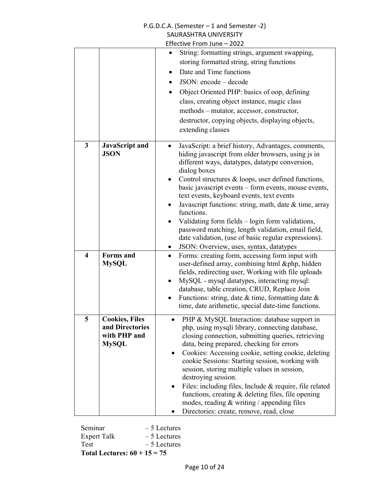|                         |                                      | P.G.D.C.A. (Semester - 1 and Semester -2)                                                                             |
|-------------------------|--------------------------------------|-----------------------------------------------------------------------------------------------------------------------|
| SAURASHTRA UNIVERSITY   |                                      |                                                                                                                       |
|                         |                                      | Effective From June - 2022                                                                                            |
|                         |                                      | String: formatting strings, argument swapping,                                                                        |
|                         |                                      | storing formatted string, string functions                                                                            |
|                         |                                      | Date and Time functions                                                                                               |
|                         |                                      | JSON: encode - decode<br>$\bullet$                                                                                    |
|                         |                                      | Object Oriented PHP: basics of oop, defining<br>$\bullet$                                                             |
|                         |                                      | class, creating object instance, magic class                                                                          |
|                         |                                      | methods – mutator, accessor, constructor,                                                                             |
|                         |                                      | destructor, copying objects, displaying objects,                                                                      |
|                         |                                      | extending classes                                                                                                     |
| $\mathbf{3}$            |                                      |                                                                                                                       |
|                         | <b>JavaScript</b> and<br><b>JSON</b> | JavaScript: a brief history, Advantages, comments,<br>$\bullet$<br>hiding javascript from older browsers, using js in |
|                         |                                      | different ways, datatypes, datatype conversion,                                                                       |
|                         |                                      | dialog boxes                                                                                                          |
|                         |                                      | Control structures & loops, user defined functions,                                                                   |
|                         |                                      | basic javascript events – form events, mouse events,                                                                  |
|                         |                                      | text events, keyboard events, text events                                                                             |
|                         |                                      | Javascript functions: string, math, date & time, array<br>$\bullet$<br>functions.                                     |
|                         |                                      | Validating form fields – login form validations,                                                                      |
|                         |                                      | password matching, length validation, email field,                                                                    |
|                         |                                      | date validation, (use of basic regular expressions).                                                                  |
|                         |                                      | JSON: Overview, uses, syntax, datatypes<br>$\bullet$                                                                  |
| $\overline{\mathbf{4}}$ | <b>Forms</b> and                     | Forms: creating form, accessing form input with<br>$\bullet$                                                          |
|                         | <b>MySQL</b>                         | user-defined array, combining html &php, hidden                                                                       |
|                         |                                      | fields, redirecting user, Working with file uploads                                                                   |
|                         |                                      | MySQL - mysql datatypes, interacting mysql:                                                                           |
|                         |                                      | database, table creation, CRUD, Replace Join<br>Functions: string, date $\&$ time, formatting date $\&$               |
|                         |                                      | time, date arithmetic, special date-time functions.                                                                   |
|                         |                                      |                                                                                                                       |
| 5                       | <b>Cookies, Files</b>                | PHP & MySQL Interaction: database support in<br>$\bullet$                                                             |
|                         | and Directories<br>with PHP and      | php, using mysqli library, connecting database,<br>closing connection, submitting queries, retrieving                 |
|                         | <b>MySQL</b>                         | data, being prepared, checking for errors                                                                             |
|                         |                                      | Cookies: Accessing cookie, setting cookie, deleting                                                                   |
|                         |                                      | cookie Sessions: Starting session, working with                                                                       |
|                         |                                      | session, storing multiple values in session,                                                                          |
|                         |                                      | destroying session.                                                                                                   |
|                         |                                      | Files: including files, Include & require, file related                                                               |
|                         |                                      | functions, creating & deleting files, file opening                                                                    |
|                         |                                      | modes, reading $&$ writing / appending files                                                                          |
|                         |                                      | Directories: create, remove, read, close<br>$\bullet$                                                                 |

Seminar – 5 Lectures<br>Expert Talk – 5 Lectures Expert Talk<br>Test  $-5$  Lectures **Total Lectures: 60 + 15 = 75**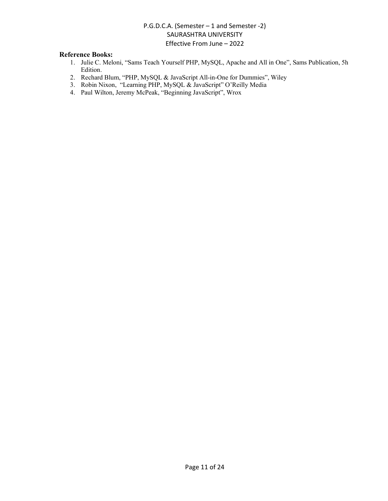- 1. Julie C. Meloni, "Sams Teach Yourself PHP, MySQL, Apache and All in One", Sams Publication, 5h Edition.
- 2. Rechard Blum, "PHP, MySQL & JavaScript All-in-One for Dummies", Wiley
- 3. Robin Nixon, "Learning PHP, MySQL & JavaScript" O'Reilly Media
- 4. Paul Wilton, Jeremy McPeak, "Beginning JavaScript", Wrox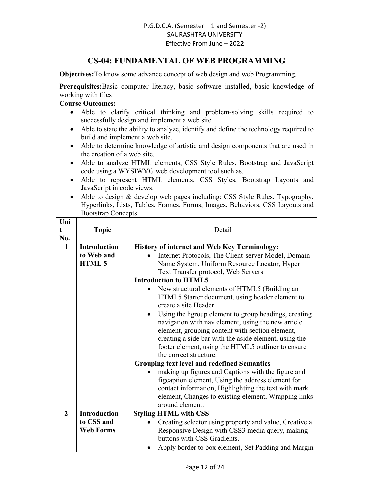#### **CS-04: FUNDAMENTAL OF WEB PROGRAMMING**

**Objectives:**To know some advance concept of web design and web Programming.

**Prerequisites:**Basic computer literacy, basic software installed, basic knowledge of working with files

- Able to clarify critical thinking and problem-solving skills required to successfully design and implement a web site.
- Able to state the ability to analyze, identify and define the technology required to build and implement a web site.
- Able to determine knowledge of artistic and design components that are used in the creation of a web site.
- Able to analyze HTML elements, CSS Style Rules, Bootstrap and JavaScript code using a WYSIWYG web development tool such as.
- Able to represent HTML elements, CSS Styles, Bootstrap Layouts and JavaScript in code views.
- Able to design & develop web pages including: CSS Style Rules, Typography, Hyperlinks, Lists, Tables, Frames, Forms, Images, Behaviors, CSS Layouts and Bootstrap Concepts.

| Uni<br>t<br>No. | <b>Topic</b>        | Detail                                                                   |  |
|-----------------|---------------------|--------------------------------------------------------------------------|--|
| $\mathbf{1}$    | <b>Introduction</b> | <b>History of internet and Web Key Terminology:</b>                      |  |
|                 | to Web and          | Internet Protocols, The Client-server Model, Domain                      |  |
|                 | HTML 5              | Name System, Uniform Resource Locator, Hyper                             |  |
|                 |                     | Text Transfer protocol, Web Servers                                      |  |
|                 |                     | <b>Introduction to HTML5</b>                                             |  |
|                 |                     | New structural elements of HTML5 (Building an                            |  |
|                 |                     | HTML5 Starter document, using header element to<br>create a site Header. |  |
|                 |                     | Using the hgroup element to group headings, creating                     |  |
|                 |                     | navigation with nav element, using the new article                       |  |
|                 |                     | element, grouping content with section element,                          |  |
|                 |                     | creating a side bar with the aside element, using the                    |  |
|                 |                     | footer element, using the HTML5 outliner to ensure                       |  |
|                 |                     | the correct structure.                                                   |  |
|                 |                     | <b>Grouping text level and redefined Semantics</b>                       |  |
|                 |                     | making up figures and Captions with the figure and                       |  |
|                 |                     | figcaption element, Using the address element for                        |  |
|                 |                     | contact information, Highlighting the text with mark                     |  |
|                 |                     | element, Changes to existing element, Wrapping links                     |  |
|                 |                     | around element.                                                          |  |
| $\mathbf{2}$    | <b>Introduction</b> | <b>Styling HTML with CSS</b>                                             |  |
|                 | to CSS and          | Creating selector using property and value, Creative a                   |  |
|                 | <b>Web Forms</b>    | Responsive Design with CSS3 media query, making                          |  |
|                 |                     | buttons with CSS Gradients.                                              |  |
|                 |                     | Apply border to box element, Set Padding and Margin                      |  |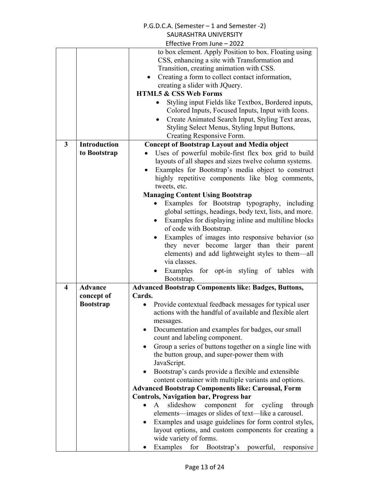|                         |                     | P.G.D.C.A. (Semester - 1 and Semester -2)                                                                                                                                                                                                                                                                                                                       |
|-------------------------|---------------------|-----------------------------------------------------------------------------------------------------------------------------------------------------------------------------------------------------------------------------------------------------------------------------------------------------------------------------------------------------------------|
|                         |                     | SAURASHTRA UNIVERSITY                                                                                                                                                                                                                                                                                                                                           |
|                         |                     | Effective From June - 2022                                                                                                                                                                                                                                                                                                                                      |
|                         |                     | to box element. Apply Position to box. Floating using<br>CSS, enhancing a site with Transformation and<br>Transition, creating animation with CSS.<br>Creating a form to collect contact information,<br>creating a slider with JQuery.                                                                                                                         |
|                         |                     | <b>HTML5 &amp; CSS Web Forms</b>                                                                                                                                                                                                                                                                                                                                |
|                         |                     | Styling input Fields like Textbox, Bordered inputs,<br>Colored Inputs, Focused Inputs, Input with Icons.<br>Create Animated Search Input, Styling Text areas,<br>$\bullet$<br>Styling Select Menus, Styling Input Buttons,<br>Creating Responsive Form.                                                                                                         |
| 3                       | <b>Introduction</b> | <b>Concept of Bootstrap Layout and Media object</b>                                                                                                                                                                                                                                                                                                             |
|                         | to Bootstrap        | Uses of powerful mobile-first flex box grid to build<br>layouts of all shapes and sizes twelve column systems.<br>Examples for Bootstrap's media object to construct<br>highly repetitive components like blog comments,<br>tweets, etc.                                                                                                                        |
|                         |                     | <b>Managing Content Using Bootstrap</b>                                                                                                                                                                                                                                                                                                                         |
|                         |                     | Examples for Bootstrap typography, including<br>global settings, headings, body text, lists, and more.<br>Examples for displaying inline and multiline blocks<br>٠<br>of code with Bootstrap.<br>Examples of images into responsive behavior (so<br>$\bullet$<br>they never become larger than their parent<br>elements) and add lightweight styles to them—all |
|                         |                     | via classes.                                                                                                                                                                                                                                                                                                                                                    |
|                         |                     | Examples for opt-in styling of tables<br>with                                                                                                                                                                                                                                                                                                                   |
|                         |                     | Bootstrap.                                                                                                                                                                                                                                                                                                                                                      |
| $\overline{\mathbf{4}}$ | <b>Advance</b>      | <b>Advanced Bootstrap Components like: Badges, Buttons,</b>                                                                                                                                                                                                                                                                                                     |
|                         | concept of          | Cards.                                                                                                                                                                                                                                                                                                                                                          |
|                         | <b>Bootstrap</b>    | Provide contextual feedback messages for typical user<br>actions with the handful of available and flexible alert<br>messages.<br>Documentation and examples for badges, our small                                                                                                                                                                              |
|                         |                     | count and labeling component.                                                                                                                                                                                                                                                                                                                                   |
|                         |                     | Group a series of buttons together on a single line with<br>$\bullet$<br>the button group, and super-power them with<br>JavaScript.<br>Bootstrap's cards provide a flexible and extensible<br>content container with multiple variants and options.                                                                                                             |
|                         |                     | <b>Advanced Bootstrap Components like: Carousal, Form</b>                                                                                                                                                                                                                                                                                                       |
|                         |                     | Controls, Navigation bar, Progress bar                                                                                                                                                                                                                                                                                                                          |
|                         |                     | slideshow<br>$\mathbf{A}$<br>component for cycling through<br>$\bullet$<br>elements—images or slides of text—like a carousel.<br>Examples and usage guidelines for form control styles,<br>layout options, and custom components for creating a<br>wide variety of forms.<br>Examples for Bootstrap's powerful,<br>responsive                                   |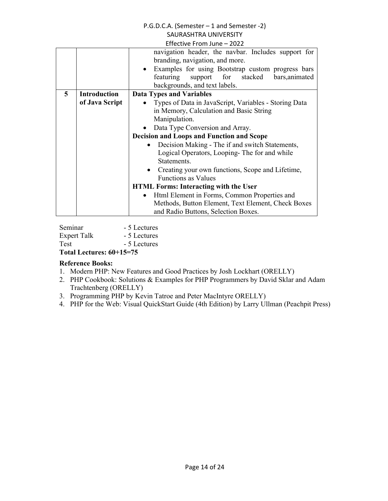| navigation header, the navbar. Includes support for                     |  |  |
|-------------------------------------------------------------------------|--|--|
| branding, navigation, and more.                                         |  |  |
| • Examples for using Bootstrap custom progress bars                     |  |  |
| featuring<br>support for stacked<br>bars, animated                      |  |  |
| backgrounds, and text labels.                                           |  |  |
| 5<br><b>Introduction</b><br><b>Data Types and Variables</b>             |  |  |
| of Java Script<br>Types of Data in JavaScript, Variables - Storing Data |  |  |
| in Memory, Calculation and Basic String                                 |  |  |
| Manipulation.                                                           |  |  |
| Data Type Conversion and Array.                                         |  |  |
| <b>Decision and Loops and Function and Scope</b>                        |  |  |
| Decision Making - The if and switch Statements,                         |  |  |
| Logical Operators, Looping-The for and while                            |  |  |
| Statements.                                                             |  |  |
| Creating your own functions, Scope and Lifetime,<br>$\bullet$           |  |  |
| <b>Functions as Values</b>                                              |  |  |
| <b>HTML Forms: Interacting with the User</b>                            |  |  |
| Html Element in Forms, Common Properties and<br>$\bullet$               |  |  |
| Methods, Button Element, Text Element, Check Boxes                      |  |  |
| and Radio Buttons, Selection Boxes.                                     |  |  |

Seminar - 5 Lectures Expert Talk - 5 Lectures<br>Test - 5 Lectures - 5 Lectures

**Total Lectures: 60+15=75** 

- 1. Modern PHP: New Features and Good Practices by Josh Lockhart (ORELLY)
- 2. PHP Cookbook: Solutions & Examples for PHP Programmers by David Sklar and Adam Trachtenberg (ORELLY)
- 3. Programming PHP by Kevin Tatroe and Peter MacIntyre ORELLY)
- 4. PHP for the Web: Visual QuickStart Guide (4th Edition) by Larry Ullman (Peachpit Press)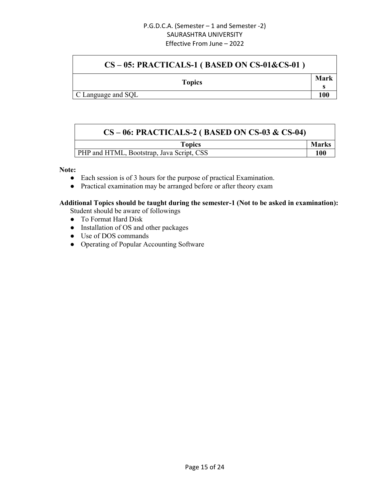### **CS – 05: PRACTICALS-1 ( BASED ON CS-01&CS-01 )**

**s**

| <b>Topics</b> | Mark |
|---------------|------|
|               |      |

C Language and SQL **100**

| $CS-06$ : PRACTICALS-2 (BASED ON CS-03 & CS-04) |              |
|-------------------------------------------------|--------------|
| <b>Topics</b>                                   | <b>Marks</b> |
| PHP and HTML, Bootstrap, Java Script, CSS       | <b>100</b>   |

#### **Note:**

- Each session is of 3 hours for the purpose of practical Examination.
- Practical examination may be arranged before or after theory exam

### **Additional Topics should be taught during the semester-1 (Not to be asked in examination):**

Student should be aware of followings

- To Format Hard Disk
- Installation of OS and other packages
- Use of DOS commands
- Operating of Popular Accounting Software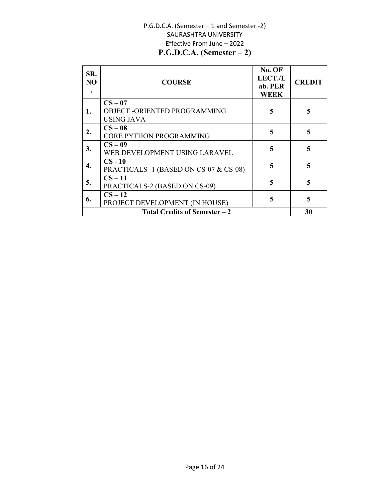#### P.G.D.C.A. (Semester – 1 and Semester -2) SAURASHTRA UNIVERSITY Effective From June – 2022 **P.G.D.C.A. (Semester – 2)**

| SR.<br>NO | <b>COURSE</b>                                                   | No. OF<br><b>LECT./L</b><br>ab. PER<br><b>WEEK</b> | <b>CREDIT</b> |
|-----------|-----------------------------------------------------------------|----------------------------------------------------|---------------|
| 1.        | $CS - 07$<br>OBJECT - ORIENTED PROGRAMMING<br><b>USING JAVA</b> | 5                                                  | 5             |
| 2.        | $CS - 08$<br><b>CORE PYTHON PROGRAMMING</b>                     | 5                                                  | 5             |
| 3.        | $CS-09$<br>WEB DEVELOPMENT USING LARAVEL                        | 5                                                  | 5             |
| 4.        | $CS - 10$<br>PRACTICALS -1 (BASED ON CS-07 & CS-08)             | 5                                                  | 5             |
| 5.        | $CS - 11$<br>PRACTICALS-2 (BASED ON CS-09)                      | 5                                                  | 5             |
| 6.        | $CS - 12$<br>PROJECT DEVELOPMENT (IN HOUSE)                     | 5                                                  | 5             |
|           | <b>Total Credits of Semester - 2</b>                            |                                                    | 30            |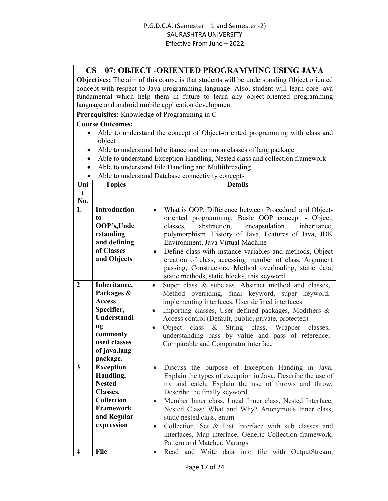#### **CS – 07: OBJECT -ORIENTED PROGRAMMING USING JAVA**

**Objectives:** The aim of this course is that students will be understanding Object oriented concept with respect to Java programming language. Also, student will learn core java fundamental which help them in future to learn any object-oriented programming language and android mobile application development.

**Prerequisites:** Knowledge of Programming in C

- Able to understand the concept of Object-oriented programming with class and object
- Able to understand Inheritance and common classes of lang package
- Able to understand Exception Handling, Nested class and collection framework
- Able to understand File Handling and Multithreading
- Able to understand Database connectivity concepts

| Uni                     | <b>Topics</b>                                                                                                                          | who to understand Database connectivity concepts<br><b>Details</b>                                                                                                                                                                                                                                                                                                                                                                                                                                                                    |
|-------------------------|----------------------------------------------------------------------------------------------------------------------------------------|---------------------------------------------------------------------------------------------------------------------------------------------------------------------------------------------------------------------------------------------------------------------------------------------------------------------------------------------------------------------------------------------------------------------------------------------------------------------------------------------------------------------------------------|
| $\mathbf t$             |                                                                                                                                        |                                                                                                                                                                                                                                                                                                                                                                                                                                                                                                                                       |
| No.                     |                                                                                                                                        |                                                                                                                                                                                                                                                                                                                                                                                                                                                                                                                                       |
| 1.                      | <b>Introduction</b><br>to<br>OOP's, Unde<br>rstanding<br>and defining<br>of Classes<br>and Objects                                     | What is OOP, Difference between Procedural and Object-<br>$\bullet$<br>oriented programming, Basic OOP concept - Object,<br>abstraction,<br>encapsulation,<br>classes.<br>inheritance,<br>polymorphism, History of Java, Features of Java, JDK<br>Environment, Java Virtual Machine<br>Define class with instance variables and methods, Object<br>creation of class, accessing member of class, Argument<br>passing, Constructors, Method overloading, static data,<br>static methods, static blocks, this keyword                   |
| $\overline{2}$          | Inheritance,<br>Packages &<br><b>Access</b><br>Specifier,<br>Understandi<br>ng<br>commonly<br>used classes<br>of java.lang<br>package. | Super class & subclass, Abstract method and classes,<br>Method overriding, final keyword, super keyword,<br>implementing interfaces, User defined interfaces<br>Importing classes, User defined packages, Modifiers &<br>Access control (Default, public, private, protected)<br>Object<br>class<br>String class, Wrapper classes,<br>$\&$<br>$\bullet$<br>understanding pass by value and pass of reference,<br>Comparable and Comparator interface                                                                                  |
| $\overline{\mathbf{3}}$ | <b>Exception</b><br>Handling,<br><b>Nested</b><br>Classes,<br><b>Collection</b><br><b>Framework</b><br>and Regular<br>expression       | Discuss the purpose of Exception Handing in Java,<br>$\bullet$<br>Explain the types of exception in Java, Describe the use of<br>try and catch, Explain the use of throws and throw,<br>Describe the finally keyword<br>Member Inner class, Local Inner class, Nested Interface,<br>Nested Class: What and Why? Anonymous Inner class,<br>static nested class, enum<br>Collection, Set & List Interface with sub classes and<br>$\bullet$<br>interfaces, Map interface, Generic Collection framework,<br>Pattern and Matcher, Varargs |
| $\overline{\mathbf{4}}$ | <b>File</b>                                                                                                                            | Read and Write data into file with OutputStream,<br>$\bullet$                                                                                                                                                                                                                                                                                                                                                                                                                                                                         |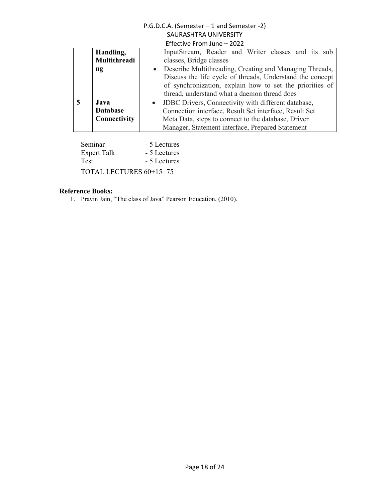| Handling,              | InputStream, Reader and Writer classes and its sub        |
|------------------------|-----------------------------------------------------------|
| Multithreadi           | classes, Bridge classes                                   |
| $\mathbf{n}\mathbf{g}$ | • Describe Multithreading, Creating and Managing Threads, |
|                        | Discuss the life cycle of threads, Understand the concept |
|                        | of synchronization, explain how to set the priorities of  |
|                        | thread, understand what a daemon thread does              |
| Java                   | • JDBC Drivers, Connectivity with different database,     |
| <b>Database</b>        | Connection interface, Result Set interface, Result Set    |
| Connectivity           | Meta Data, steps to connect to the database, Driver       |
|                        | Manager, Statement interface, Prepared Statement          |

Seminar - 5 Lectures<br>Expert Talk - 5 Lectures Expert Talk Test - 5 Lectures TOTAL LECTURES 60+15=75

#### **Reference Books:**

1. Pravin Jain, "The class of Java" Pearson Education, (2010).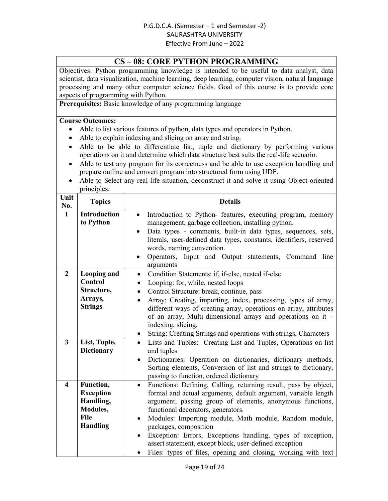#### **CS – 08: CORE PYTHON PROGRAMMING**

Objectives: Python programming knowledge is intended to be useful to data analyst, data scientist, data visualization, machine learning, deep learning, computer vision, natural language processing and many other computer science fields. Goal of this course is to provide core aspects of programming with Python.

**Prerequisites:** Basic knowledge of any programming language

- Able to list various features of python, data types and operators in Python.
- Able to explain indexing and slicing on array and string.
- Able to be able to differentiate list, tuple and dictionary by performing various operations on it and determine which data structure best suits the real-life scenario.
- Able to test any program for its correctness and be able to use exception handling and prepare outline and convert program into structured form using UDF.
- Able to Select any real-life situation, deconstruct it and solve it using Object-oriented principles.

| Unit<br>No.             | <b>Topics</b>                                                                     | <b>Details</b>                                                                                                                                                                                                                                                                                                                                                                                                                                                                                                                                                        |
|-------------------------|-----------------------------------------------------------------------------------|-----------------------------------------------------------------------------------------------------------------------------------------------------------------------------------------------------------------------------------------------------------------------------------------------------------------------------------------------------------------------------------------------------------------------------------------------------------------------------------------------------------------------------------------------------------------------|
| $\mathbf{1}$            | <b>Introduction</b><br>to Python                                                  | Introduction to Python- features, executing program, memory<br>management, garbage collection, installing python.<br>Data types - comments, built-in data types, sequences, sets,<br>literals, user-defined data types, constants, identifiers, reserved<br>words, naming convention.<br>Operators, Input and Output statements, Command line                                                                                                                                                                                                                         |
| $\overline{2}$          | <b>Looping and</b><br><b>Control</b><br>Structure,<br>Arrays,<br><b>Strings</b>   | arguments<br>Condition Statements: if, if-else, nested if-else<br>$\bullet$<br>Looping: for, while, nested loops<br>$\bullet$<br>Control Structure: break, continue, pass<br>$\bullet$<br>Array: Creating, importing, index, processing, types of array,<br>$\bullet$<br>different ways of creating array, operations on array, attributes<br>of an array, Multi-dimensional arrays and operations on it -<br>indexing, slicing.<br>String: Creating Strings and operations with strings, Characters<br>$\bullet$                                                     |
| $\overline{3}$          | List, Tuple,<br><b>Dictionary</b>                                                 | Lists and Tuples: Creating List and Tuples, Operations on list<br>$\bullet$<br>and tuples<br>Dictionaries: Operation on dictionaries, dictionary methods,<br>Sorting elements, Conversion of list and strings to dictionary,<br>passing to function, ordered dictionary                                                                                                                                                                                                                                                                                               |
| $\overline{\mathbf{4}}$ | Function,<br><b>Exception</b><br>Handling,<br>Modules,<br>File<br><b>Handling</b> | Functions: Defining, Calling, returning result, pass by object,<br>$\bullet$<br>formal and actual arguments, default argument, variable length<br>argument, passing group of elements, anonymous functions,<br>functional decorators, generators.<br>Modules: Importing module, Math module, Random module,<br>$\bullet$<br>packages, composition<br>Exception: Errors, Exceptions handling, types of exception,<br>$\bullet$<br>assert statement, except block, user-defined exception<br>Files: types of files, opening and closing, working with text<br>$\bullet$ |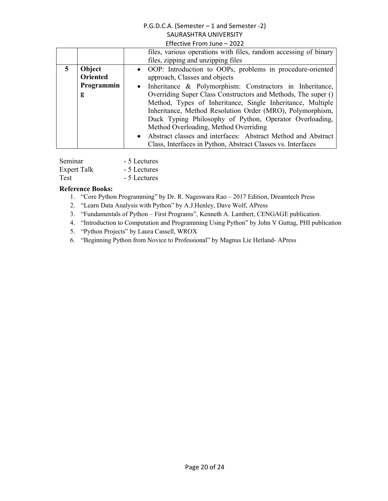|                 | files, various operations with files, random accessing of binary<br>files, zipping and unzipping files |
|-----------------|--------------------------------------------------------------------------------------------------------|
| Object          | • OOP: Introduction to OOPs, problems in procedure-oriented                                            |
| <b>Oriented</b> | approach, Classes and objects                                                                          |
| Programmin      | Inheritance & Polymorphism: Constructors in Inheritance,                                               |
| g               | Overriding Super Class Constructors and Methods, The super ()                                          |
|                 | Method, Types of Inheritance, Single Inheritance, Multiple                                             |
|                 | Inheritance, Method Resolution Order (MRO), Polymorphism,                                              |
|                 | Duck Typing Philosophy of Python, Operator Overloading,                                                |
|                 | Method Overloading, Method Overriding                                                                  |
|                 | Abstract classes and interfaces: Abstract Method and Abstract<br>$\bullet$                             |
|                 | Class, Interfaces in Python, Abstract Classes vs. Interfaces                                           |

| Seminar            | - 5 Lectures |
|--------------------|--------------|
| <b>Expert Talk</b> | - 5 Lectures |
| Test               | - 5 Lectures |

- 1. "Core Python Programming" by Dr. R. Nageswara Rao 2017 Edition, Dreamtech Press
- 2. "Learn Data Analysis with Python" by A.J.Henley, Dave Wolf, APress
- 3. "Fundamentals of Python First Programs", Kenneth A. Lambert, CENGAGE publication.
- 4. "Introduction to Computation and Programming Using Python" by John V Guttag, PHI publication
- 5. "Python Projects" by Laura Cassell, WROX
- 6. "Beginning Python from Novice to Professional" by Magnus Lie Hetland- APress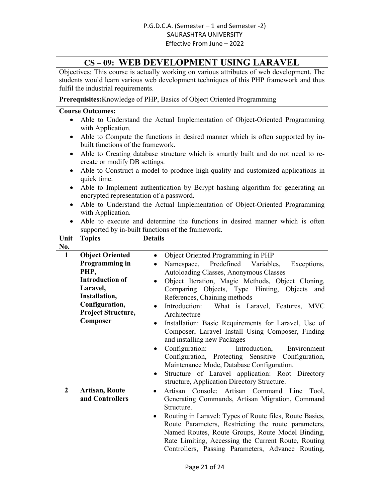### **CS – 09: WEB DEVELOPMENT USING LARAVEL**

Objectives: This course is actually working on various attributes of web development. The students would learn various web development techniques of this PHP framework and thus fulfil the industrial requirements.

**Prerequisites:**Knowledge of PHP, Basics of Object Oriented Programming

- Able to Understand the Actual Implementation of Object-Oriented Programming with Application.
- Able to Compute the functions in desired manner which is often supported by inbuilt functions of the framework.
- Able to Creating database structure which is smartly built and do not need to recreate or modify DB settings.
- Able to Construct a model to produce high-quality and customized applications in quick time.
- Able to Implement authentication by Bcrypt hashing algorithm for generating an encrypted representation of a password.
- Able to Understand the Actual Implementation of Object-Oriented Programming with Application.
- Able to execute and determine the functions in desired manner which is often supported by in-built functions of the framework.

| Unit           | <b>Topics</b>             | <b>Details</b>                                                    |
|----------------|---------------------------|-------------------------------------------------------------------|
| No.            |                           |                                                                   |
| $\mathbf{1}$   | <b>Object Oriented</b>    | Object Oriented Programming in PHP<br>$\bullet$                   |
|                | Programming in            | Namespace, Predefined Variables,<br>Exceptions,                   |
|                | PHP,                      | Autoloading Classes, Anonymous Classes                            |
|                | <b>Introduction of</b>    | Object Iteration, Magic Methods, Object Cloning,<br>$\bullet$     |
|                | Laravel,                  | Comparing Objects, Type Hinting, Objects<br>and                   |
|                | Installation,             | References, Chaining methods                                      |
|                | Configuration,            | Introduction: What is Laravel, Features, MVC<br>$\bullet$         |
|                | <b>Project Structure,</b> | Architecture                                                      |
|                | Composer                  | Installation: Basic Requirements for Laravel, Use of<br>$\bullet$ |
|                |                           | Composer, Laravel Install Using Composer, Finding                 |
|                |                           | and installing new Packages                                       |
|                |                           | Configuration:<br>Introduction, Environment<br>$\bullet$          |
|                |                           | Configuration, Protecting Sensitive Configuration,                |
|                |                           | Maintenance Mode, Database Configuration.                         |
|                |                           | Structure of Laravel application: Root Directory<br>$\bullet$     |
|                |                           | structure, Application Directory Structure.                       |
| $\overline{2}$ | <b>Artisan, Route</b>     | Artisan Console: Artisan Command Line<br>Tool,<br>$\bullet$       |
|                | and Controllers           | Generating Commands, Artisan Migration, Command                   |
|                |                           | Structure.                                                        |
|                |                           | Routing in Laravel: Types of Route files, Route Basics,           |
|                |                           | Route Parameters, Restricting the route parameters,               |
|                |                           | Named Routes, Route Groups, Route Model Binding,                  |
|                |                           | Rate Limiting, Accessing the Current Route, Routing               |
|                |                           | Controllers, Passing Parameters, Advance Routing,                 |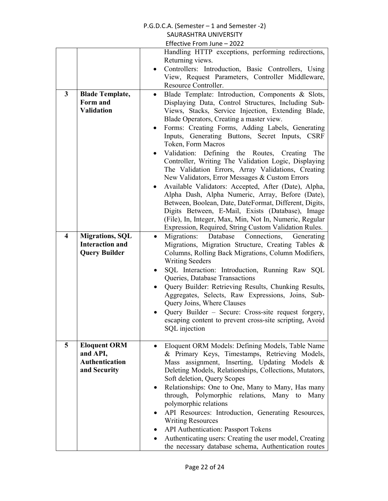#### P.G.D.C.A. (Semester – 1 and Semester -2) SAURASHTRA UNIVERSITY

|                         |                                                                          | Effective From June - 2022                                                                                                                                                                                                                                                                                                                                                                                                                                                                          |
|-------------------------|--------------------------------------------------------------------------|-----------------------------------------------------------------------------------------------------------------------------------------------------------------------------------------------------------------------------------------------------------------------------------------------------------------------------------------------------------------------------------------------------------------------------------------------------------------------------------------------------|
|                         |                                                                          | Handling HTTP exceptions, performing redirections,<br>Returning views.                                                                                                                                                                                                                                                                                                                                                                                                                              |
|                         |                                                                          | Controllers: Introduction, Basic Controllers, Using<br>$\bullet$<br>View, Request Parameters, Controller Middleware,<br>Resource Controller.                                                                                                                                                                                                                                                                                                                                                        |
| $\mathbf{3}$            | <b>Blade Template,</b><br>Form and<br><b>Validation</b>                  | Blade Template: Introduction, Components & Slots,<br>$\bullet$<br>Displaying Data, Control Structures, Including Sub-<br>Views, Stacks, Service Injection, Extending Blade,<br>Blade Operators, Creating a master view.<br>Forms: Creating Forms, Adding Labels, Generating<br>Inputs, Generating Buttons, Secret Inputs, CSRF<br>Token, Form Macros<br>Validation: Defining the Routes, Creating<br>The<br>$\bullet$                                                                               |
|                         |                                                                          | Controller, Writing The Validation Logic, Displaying<br>The Validation Errors, Array Validations, Creating<br>New Validators, Error Messages & Custom Errors<br>Available Validators: Accepted, After (Date), Alpha,<br>$\bullet$                                                                                                                                                                                                                                                                   |
|                         |                                                                          | Alpha Dash, Alpha Numeric, Array, Before (Date),<br>Between, Boolean, Date, DateFormat, Different, Digits,<br>Digits Between, E-Mail, Exists (Database), Image<br>(File), In, Integer, Max, Min, Not In, Numeric, Regular<br>Expression, Required, String Custom Validation Rules.                                                                                                                                                                                                                  |
| $\overline{\mathbf{4}}$ | <b>Migrations, SQL</b><br><b>Interaction and</b><br><b>Query Builder</b> | Migrations:<br>Database<br>Connections,<br>Generating<br>$\bullet$<br>Migrations, Migration Structure, Creating Tables &<br>Columns, Rolling Back Migrations, Column Modifiers,<br><b>Writing Seeders</b>                                                                                                                                                                                                                                                                                           |
|                         |                                                                          | SQL Interaction: Introduction, Running Raw SQL<br>$\bullet$<br>Queries, Database Transactions<br>Query Builder: Retrieving Results, Chunking Results,<br>Aggregates, Selects, Raw Expressions, Joins, Sub-<br>Query Joins, Where Clauses<br>Query Builder – Secure: Cross-site request forgery,<br>escaping content to prevent cross-site scripting, Avoid                                                                                                                                          |
|                         |                                                                          | SQL injection                                                                                                                                                                                                                                                                                                                                                                                                                                                                                       |
| 5                       | <b>Eloquent ORM</b><br>and API,<br><b>Authentication</b><br>and Security | Eloquent ORM Models: Defining Models, Table Name<br>$\bullet$<br>& Primary Keys, Timestamps, Retrieving Models,<br>Mass assignment, Inserting, Updating Models &<br>Deleting Models, Relationships, Collections, Mutators,<br>Soft deletion, Query Scopes<br>Relationships: One to One, Many to Many, Has many<br>$\bullet$<br>through, Polymorphic relations, Many to Many<br>polymorphic relations<br>API Resources: Introduction, Generating Resources,<br>$\bullet$<br><b>Writing Resources</b> |
|                         |                                                                          | API Authentication: Passport Tokens<br>$\bullet$<br>Authenticating users: Creating the user model, Creating<br>$\bullet$<br>the necessary database schema, Authentication routes                                                                                                                                                                                                                                                                                                                    |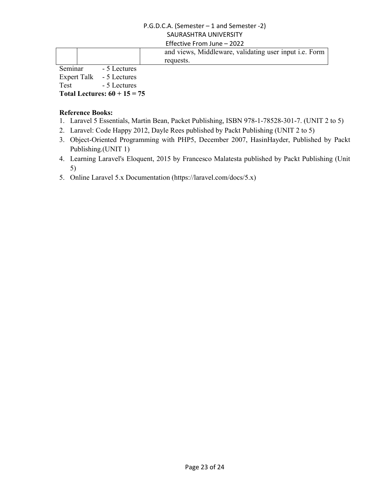| and views, Middleware, validating user input i.e. Form |  |
|--------------------------------------------------------|--|
| requests.                                              |  |
| Seminar - 5 Lectures<br>Expert Talk - 5 Lectures       |  |

Test - 5 Lectures

**Total Lectures: 60 + 15 = 75**

- 1. Laravel 5 Essentials, Martin Bean, Packet Publishing, ISBN 978-1-78528-301-7. (UNIT 2 to 5)
- 2. Laravel: Code Happy 2012, Dayle Rees published by Packt Publishing (UNIT 2 to 5)
- 3. Object-Oriented Programming with PHP5, December 2007, HasinHayder, Published by Packt Publishing.(UNIT 1)
- 4. Learning Laravel's Eloquent, 2015 by Francesco Malatesta published by Packt Publishing (Unit 5)
- 5. Online Laravel 5.x Documentation (https://laravel.com/docs/5.x)